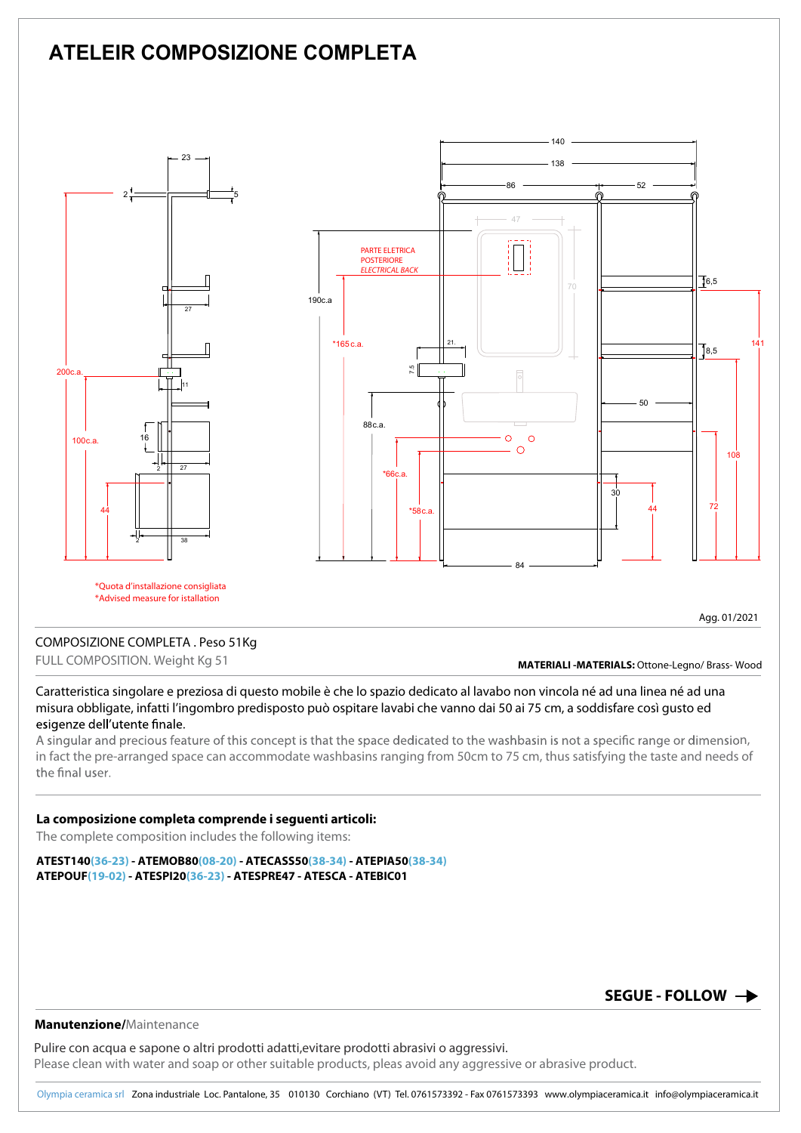# **ATELEIR COMPOSIZIONE COMPLETA**



### COMPOSIZIONE COMPLETA . Peso 51Kg

FULL COMPOSITION. Weight Kg 51

**MATERIALI -MATERIALS:** Ottone-Legno/ Brass- Wood

Caratteristica singolare e preziosa di questo mobile è che lo spazio dedicato al lavabo non vincola né ad una linea né ad una misura obbligate, infatti l'ingombro predisposto può ospitare lavabi che vanno dai 50 ai 75 cm, a soddisfare così gusto ed esigenze dell'utente finale.

A singular and precious feature of this concept is that the space dedicated to the washbasin is not a specific range or dimension, in fact the pre-arranged space can accommodate washbasins ranging from 50cm to 75 cm, thus satisfying the taste and needs of the final user.

#### **La composizione completa comprende i seguenti articoli:**

The complete composition includes the following items:

**ATEST140(36-23) - ATEMOB80(08-20) - ATECASS50(38-34) - ATEPIA50(38-34) ATEPOUF(19-02) - ATESPI20(36-23) - ATESPRE47 - ATESCA - ATEBIC01**

## **SEGUE - FOLLOW**

#### **Manutenzione/**Maintenance

Pulire con acqua e sapone o altri prodotti adatti,evitare prodotti abrasivi o aggressivi. Please clean with water and soap or other suitable products, pleas avoid any aggressive or abrasive product.

Olympia ceramica srlZona industriale Loc. Pantalone, 35 010130 Corchiano (VT) Tel. 0761573392 - Fax 0761573393 www.olympiaceramica.it info@olympiaceramica.it